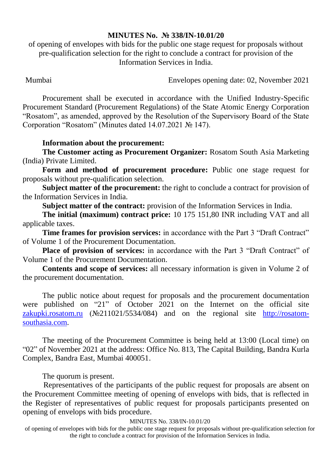## **MINUTES No. № 338/IN-10.01/20**

of opening of envelopes with bids for the public one stage request for proposals without pre-qualification selection for the right to conclude a contract for provision of the Information Services in India.

Mumbai Envelopes opening date: 02, November 2021

Procurement shall be executed in accordance with the Unified Industry-Specific Procurement Standard (Procurement Regulations) of the State Atomic Energy Corporation "Rosatom", as amended, approved by the Resolution of the Supervisory Board of the State Corporation "Rosatom" (Minutes dated 14.07.2021 № 147).

## **Information about the procurement:**

**The Customer acting as Procurement Organizer:** Rosatom South Asia Marketing (India) Private Limited.

**Form and method of procurement procedure:** Public one stage request for proposals without pre-qualification selection.

**Subject matter of the procurement:** the right to conclude a contract for provision of the Information Services in India.

**Subject matter of the contract:** provision of the Information Services in India.

**The initial (maximum) contract price:** 10 175 151,80 INR including VAT and all applicable taxes.

**Time frames for provision services:** in accordance with the Part 3 "Draft Contract" of Volume 1 of the Procurement Documentation.

**Place of provision of services:** in accordance with the Part 3 "Draft Contract" of Volume 1 of the Procurement Documentation.

**Contents and scope of services:** all necessary information is given in Volume 2 of the procurement documentation.

The public notice about request for proposals and the procurement documentation were published on "21" of October 2021 on the Internet on the official site [zakupki.rosatom.ru](http://zakupki.rosatom.ru/) (№211021/5534/084) and on the regional site http://rosatomsouthasia.com.

The meeting of the Procurement Committee is being held at 13:00 (Local time) on "02" of November 2021 at the address: Office No. 813, The Capital Building, Bandra Kurla Complex, Bandra East, Mumbai 400051.

The quorum is present.

Representatives of the participants of the public request for proposals are absent on the Procurement Committee meeting of opening of envelops with bids, that is reflected in the Register of representatives of public request for proposals participants presented on opening of envelops with bids procedure.

## MINUTES No. 338/IN-10.01/20

of opening of envelopes with bids for the public one stage request for proposals without pre-qualification selection for the right to conclude a contract for provision of the Information Services in India.